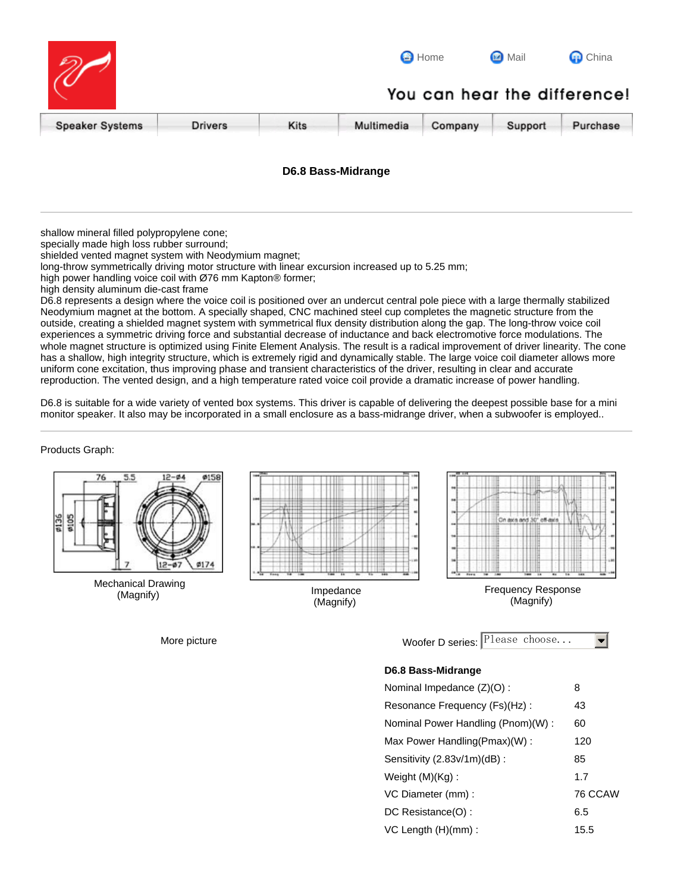|                        |                              |      | <b>B</b> Home |         | <b>Mail</b> | <b>Q</b> China |  |
|------------------------|------------------------------|------|---------------|---------|-------------|----------------|--|
|                        | You can hear the difference! |      |               |         |             |                |  |
| <b>Speaker Systems</b> | <b>Drivers</b>               | Kits | Multimedia    | Company | Support     | Purchase       |  |

## **D6.8 Bass-Midrange**

shallow mineral filled polypropylene cone;

specially made high loss rubber surround;

shielded vented magnet system with Neodymium magnet;

long-throw symmetrically driving motor structure with linear excursion increased up to 5.25 mm;

high power handling voice coil with Ø76 mm Kapton® former;

high density aluminum die-cast frame

D6.8 represents a design where the voice coil is positioned over an undercut central pole piece with a large thermally stabilized Neodymium magnet at the bottom. A specially shaped, CNC machined steel cup completes the magnetic structure from the outside, creating a shielded magnet system with symmetrical flux density distribution along the gap. The long-throw voice coil experiences a symmetric driving force and substantial decrease of inductance and back electromotive force modulations. The whole magnet structure is optimized using Finite Element Analysis. The result is a radical improvement of driver linearity. The cone has a shallow, high integrity structure, which is extremely rigid and dynamically stable. The large voice coil diameter allows more uniform cone excitation, thus improving phase and transient characteristics of the driver, resulting in clear and accurate reproduction. The vented design, and a high temperature rated voice coil provide a dramatic increase of power handling.

D6.8 is suitable for a wide variety of vented box systems. This driver is capable of delivering the deepest possible base for a mini monitor speaker. It also may be incorporated in a small enclosure as a bass-midrange driver, when a subwoofer is employed..

Products Graph:



Mechanical Drawing<br>(Magnify)



**Impedance** (Magnify)



Frequency Response (Magnify)

| More picture | Woofer D series: $\vert$ Please choose |  |  |
|--------------|----------------------------------------|--|--|
|              |                                        |  |  |

## **D6.8 Bass-Midrange**

| Nominal Impedance (Z)(O):         | 8       |
|-----------------------------------|---------|
| Resonance Frequency (Fs)(Hz):     | 43      |
| Nominal Power Handling (Pnom)(W): | 60      |
| Max Power Handling(Pmax)(W):      | 120     |
| Sensitivity (2.83v/1m)(dB):       | 85      |
| Weight $(M)(Kg)$ :                | 1.7     |
| VC Diameter (mm) :                | 76 CCAW |
| DC Resistance(O):                 | 6.5     |
| $VC$ Length $(H)(mm)$ :           | 15.5    |